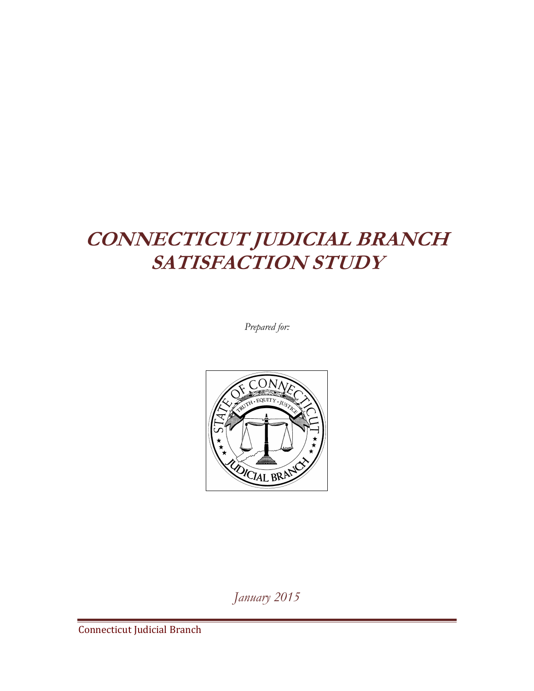### **CONNECTICUT JUDICIAL BRANCH SATISFACTION STUDY**

*Prepared for:*



*January 2015*

Connecticut Judicial Branch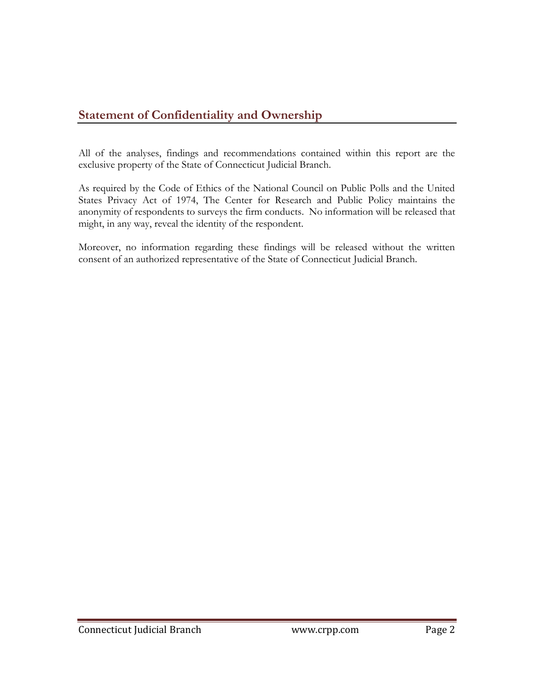#### **Statement of Confidentiality and Ownership**

All of the analyses, findings and recommendations contained within this report are the exclusive property of the State of Connecticut Judicial Branch.

As required by the Code of Ethics of the National Council on Public Polls and the United States Privacy Act of 1974, The Center for Research and Public Policy maintains the anonymity of respondents to surveys the firm conducts. No information will be released that might, in any way, reveal the identity of the respondent.

Moreover, no information regarding these findings will be released without the written consent of an authorized representative of the State of Connecticut Judicial Branch.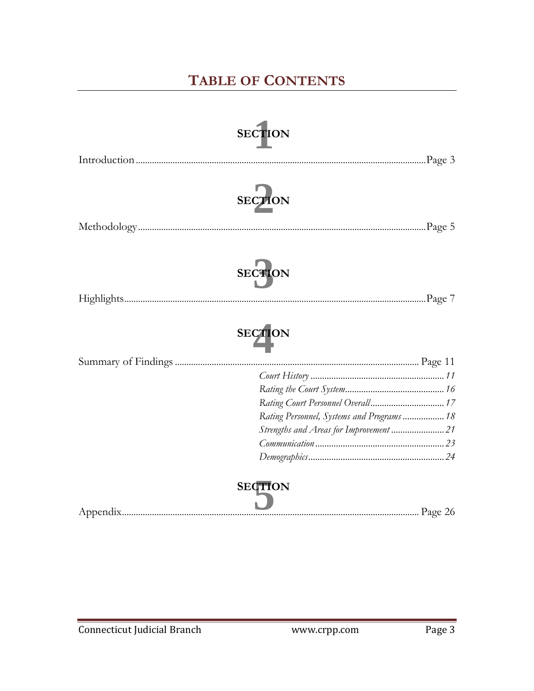### **TABLE OF CONTENTS**

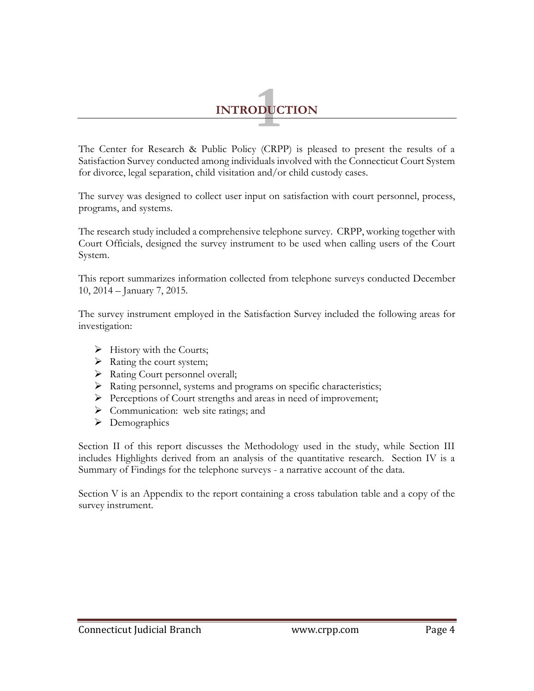# **INTRODUCTION 1**

The Center for Research & Public Policy (CRPP) is pleased to present the results of a Satisfaction Survey conducted among individuals involved with the Connecticut Court System for divorce, legal separation, child visitation and/or child custody cases.

The survey was designed to collect user input on satisfaction with court personnel, process, programs, and systems.

The research study included a comprehensive telephone survey. CRPP, working together with Court Officials, designed the survey instrument to be used when calling users of the Court System.

This report summarizes information collected from telephone surveys conducted December 10, 2014 – January 7, 2015.

The survey instrument employed in the Satisfaction Survey included the following areas for investigation:

- $\blacktriangleright$  History with the Courts;
- $\triangleright$  Rating the court system;
- > Rating Court personnel overall;
- $\triangleright$  Rating personnel, systems and programs on specific characteristics;
- Perceptions of Court strengths and areas in need of improvement;
- $\triangleright$  Communication: web site ratings; and
- > Demographics

Section II of this report discusses the Methodology used in the study, while Section III includes Highlights derived from an analysis of the quantitative research. Section IV is a Summary of Findings for the telephone surveys - a narrative account of the data.

Section V is an Appendix to the report containing a cross tabulation table and a copy of the survey instrument.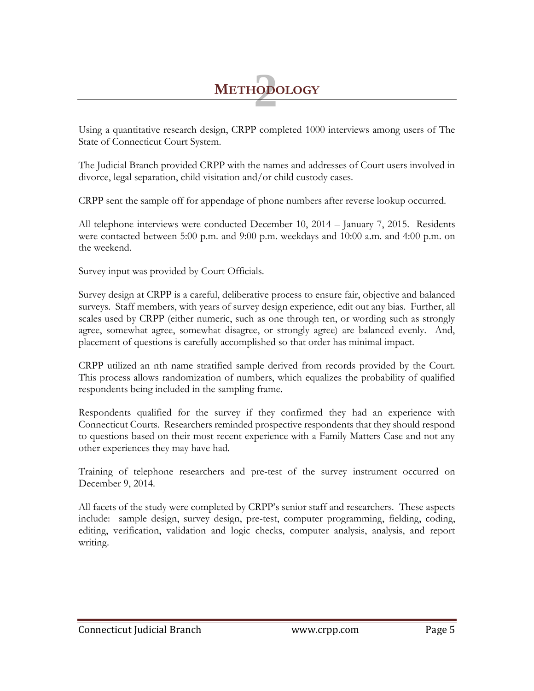## **2 METHODOLOGY**

Using a quantitative research design, CRPP completed 1000 interviews among users of The State of Connecticut Court System.

The Judicial Branch provided CRPP with the names and addresses of Court users involved in divorce, legal separation, child visitation and/or child custody cases.

CRPP sent the sample off for appendage of phone numbers after reverse lookup occurred.

All telephone interviews were conducted December 10, 2014 – January 7, 2015. Residents were contacted between 5:00 p.m. and 9:00 p.m. weekdays and 10:00 a.m. and 4:00 p.m. on the weekend.

Survey input was provided by Court Officials.

Survey design at CRPP is a careful, deliberative process to ensure fair, objective and balanced surveys. Staff members, with years of survey design experience, edit out any bias. Further, all scales used by CRPP (either numeric, such as one through ten, or wording such as strongly agree, somewhat agree, somewhat disagree, or strongly agree) are balanced evenly. And, placement of questions is carefully accomplished so that order has minimal impact.

CRPP utilized an nth name stratified sample derived from records provided by the Court. This process allows randomization of numbers, which equalizes the probability of qualified respondents being included in the sampling frame.

Respondents qualified for the survey if they confirmed they had an experience with Connecticut Courts. Researchers reminded prospective respondents that they should respond to questions based on their most recent experience with a Family Matters Case and not any other experiences they may have had.

Training of telephone researchers and pre-test of the survey instrument occurred on December 9, 2014.

All facets of the study were completed by CRPP's senior staff and researchers. These aspects include: sample design, survey design, pre-test, computer programming, fielding, coding, editing, verification, validation and logic checks, computer analysis, analysis, and report writing.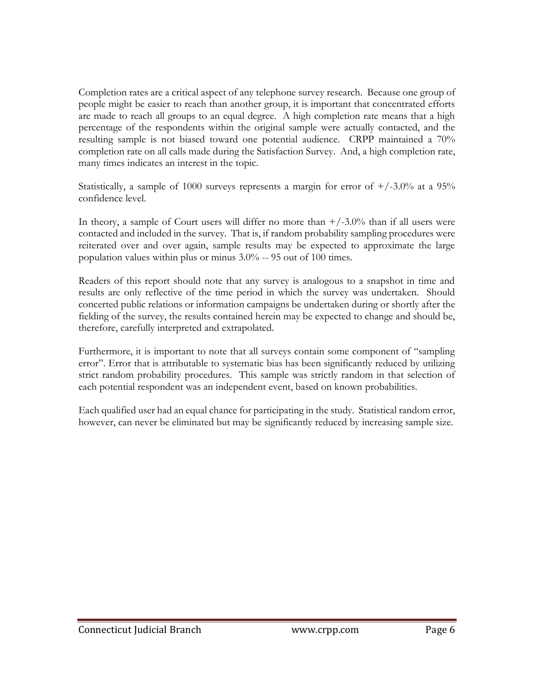Completion rates are a critical aspect of any telephone survey research. Because one group of people might be easier to reach than another group, it is important that concentrated efforts are made to reach all groups to an equal degree. A high completion rate means that a high percentage of the respondents within the original sample were actually contacted, and the resulting sample is not biased toward one potential audience. CRPP maintained a 70% completion rate on all calls made during the Satisfaction Survey. And, a high completion rate, many times indicates an interest in the topic.

Statistically, a sample of 1000 surveys represents a margin for error of  $+/-3.0\%$  at a 95% confidence level.

In theory, a sample of Court users will differ no more than  $\pm$ /-3.0% than if all users were contacted and included in the survey. That is, if random probability sampling procedures were reiterated over and over again, sample results may be expected to approximate the large population values within plus or minus 3.0% -- 95 out of 100 times.

Readers of this report should note that any survey is analogous to a snapshot in time and results are only reflective of the time period in which the survey was undertaken. Should concerted public relations or information campaigns be undertaken during or shortly after the fielding of the survey, the results contained herein may be expected to change and should be, therefore, carefully interpreted and extrapolated.

Furthermore, it is important to note that all surveys contain some component of "sampling error". Error that is attributable to systematic bias has been significantly reduced by utilizing strict random probability procedures. This sample was strictly random in that selection of each potential respondent was an independent event, based on known probabilities.

Each qualified user had an equal chance for participating in the study. Statistical random error, however, can never be eliminated but may be significantly reduced by increasing sample size.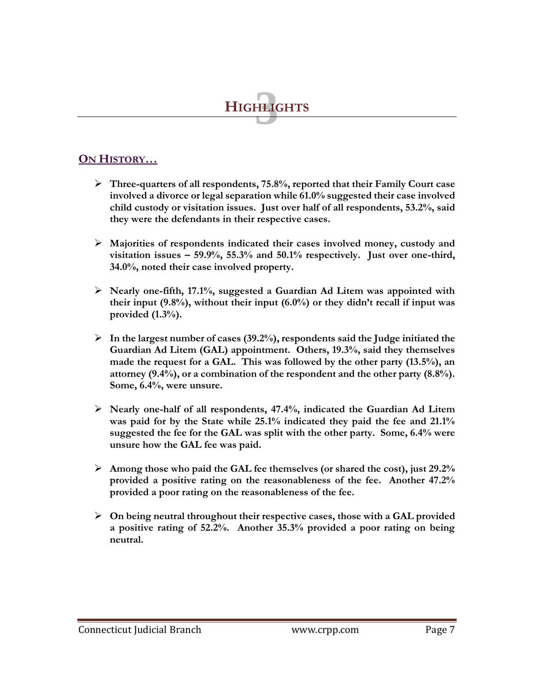

#### **ON HISTORY…**

- **Three-quarters of all respondents, 75.8%, reported that their Family Court case involved a divorce or legal separation while 61.0% suggested their case involved child custody or visitation issues. Just over half of all respondents, 53.2%, said they were the defendants in their respective cases.**
- **Majorities of respondents indicated their cases involved money, custody and visitation issues – 59.9%, 55.3% and 50.1% respectively. Just over one-third, 34.0%, noted their case involved property.**
- **Nearly one-fifth, 17.1%, suggested a Guardian Ad Litem was appointed with their input (9.8%), without their input (6.0%) or they didn't recall if input was provided (1.3%).**
- **In the largest number of cases (39.2%), respondents said the Judge initiated the Guardian Ad Litem (GAL) appointment. Others, 19.3%, said they themselves made the request for a GAL. This was followed by the other party (13.5%), an attorney (9.4%), or a combination of the respondent and the other party (8.8%). Some, 6.4%, were unsure.**
- **Nearly one-half of all respondents, 47.4%, indicated the Guardian Ad Litem was paid for by the State while 25.1% indicated they paid the fee and 21.1% suggested the fee for the GAL was split with the other party. Some, 6.4% were unsure how the GAL fee was paid.**
- **Among those who paid the GAL fee themselves (or shared the cost), just 29.2% provided a positive rating on the reasonableness of the fee. Another 47.2% provided a poor rating on the reasonableness of the fee.**
- **On being neutral throughout their respective cases, those with a GAL provided a positive rating of 52.2%. Another 35.3% provided a poor rating on being neutral.**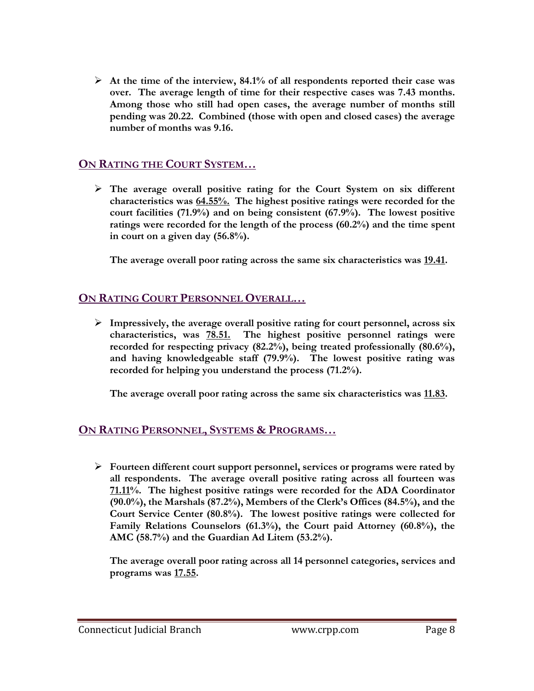**At the time of the interview, 84.1% of all respondents reported their case was over. The average length of time for their respective cases was 7.43 months. Among those who still had open cases, the average number of months still pending was 20.22. Combined (those with open and closed cases) the average number of months was 9.16.**

#### **ON RATING THE COURT SYSTEM…**

 **The average overall positive rating for the Court System on six different characteristics was 64.55%. The highest positive ratings were recorded for the court facilities (71.9%) and on being consistent (67.9%). The lowest positive ratings were recorded for the length of the process (60.2%) and the time spent in court on a given day (56.8%).**

**The average overall poor rating across the same six characteristics was 19.41.**

#### **ON RATING COURT PERSONNEL OVERALL…**

 **Impressively, the average overall positive rating for court personnel, across six characteristics, was 78.51. The highest positive personnel ratings were recorded for respecting privacy (82.2%), being treated professionally (80.6%), and having knowledgeable staff (79.9%). The lowest positive rating was recorded for helping you understand the process (71.2%).**

**The average overall poor rating across the same six characteristics was 11.83.**

#### **ON RATING PERSONNEL, SYSTEMS & PROGRAMS…**

 **Fourteen different court support personnel, services or programs were rated by all respondents. The average overall positive rating across all fourteen was 71.11%. The highest positive ratings were recorded for the ADA Coordinator (90.0%), the Marshals (87.2%), Members of the Clerk's Offices (84.5%), and the Court Service Center (80.8%). The lowest positive ratings were collected for Family Relations Counselors (61.3%), the Court paid Attorney (60.8%), the AMC (58.7%) and the Guardian Ad Litem (53.2%).**

**The average overall poor rating across all 14 personnel categories, services and programs was 17.55.**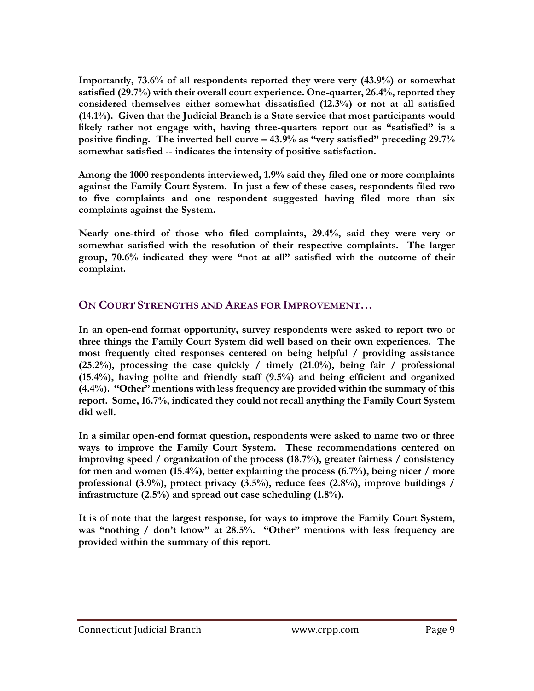**Importantly, 73.6% of all respondents reported they were very (43.9%) or somewhat satisfied (29.7%) with their overall court experience. One-quarter, 26.4%, reported they considered themselves either somewhat dissatisfied (12.3%) or not at all satisfied (14.1%). Given that the Judicial Branch is a State service that most participants would likely rather not engage with, having three-quarters report out as "satisfied" is a positive finding. The inverted bell curve – 43.9% as "very satisfied" preceding 29.7% somewhat satisfied -- indicates the intensity of positive satisfaction.** 

**Among the 1000 respondents interviewed, 1.9% said they filed one or more complaints against the Family Court System. In just a few of these cases, respondents filed two to five complaints and one respondent suggested having filed more than six complaints against the System.** 

**Nearly one-third of those who filed complaints, 29.4%, said they were very or somewhat satisfied with the resolution of their respective complaints. The larger group, 70.6% indicated they were "not at all" satisfied with the outcome of their complaint.**

#### **ON COURT STRENGTHS AND AREAS FOR IMPROVEMENT…**

**In an open-end format opportunity, survey respondents were asked to report two or three things the Family Court System did well based on their own experiences. The most frequently cited responses centered on being helpful / providing assistance (25.2%), processing the case quickly / timely (21.0%), being fair / professional (15.4%), having polite and friendly staff (9.5%) and being efficient and organized (4.4%). "Other" mentions with less frequency are provided within the summary of this report. Some, 16.7%, indicated they could not recall anything the Family Court System did well.**

**In a similar open-end format question, respondents were asked to name two or three ways to improve the Family Court System. These recommendations centered on improving speed / organization of the process (18.7%), greater fairness / consistency for men and women (15.4%), better explaining the process (6.7%), being nicer / more professional (3.9%), protect privacy (3.5%), reduce fees (2.8%), improve buildings / infrastructure (2.5%) and spread out case scheduling (1.8%).** 

**It is of note that the largest response, for ways to improve the Family Court System, was "nothing / don't know" at 28.5%. "Other" mentions with less frequency are provided within the summary of this report.**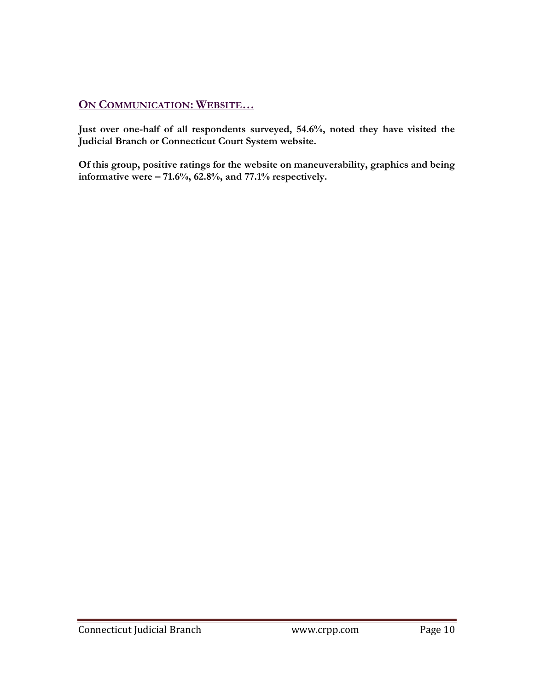#### **ON COMMUNICATION: WEBSITE…**

**Just over one-half of all respondents surveyed, 54.6%, noted they have visited the Judicial Branch or Connecticut Court System website.**

**Of this group, positive ratings for the website on maneuverability, graphics and being informative were – 71.6%, 62.8%, and 77.1% respectively.**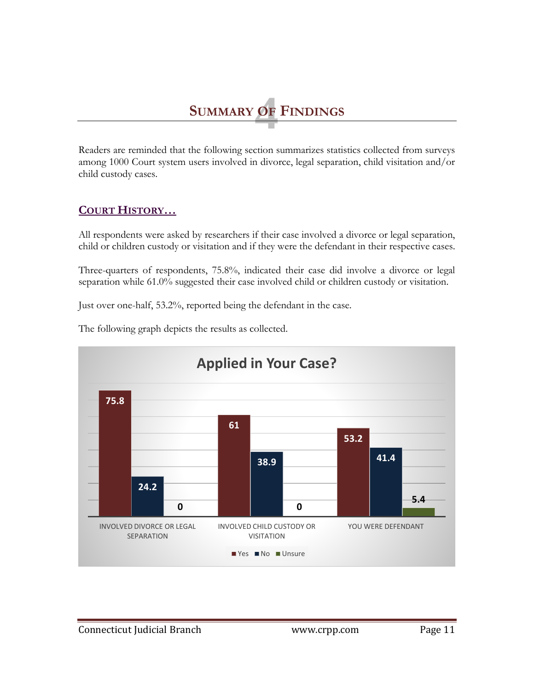## 6<br><u>1</u> **SUMMARY OF FINDINGS**

Readers are reminded that the following section summarizes statistics collected from surveys among 1000 Court system users involved in divorce, legal separation, child visitation and/or child custody cases.

#### **COURT HISTORY…**

All respondents were asked by researchers if their case involved a divorce or legal separation, child or children custody or visitation and if they were the defendant in their respective cases.

Three-quarters of respondents, 75.8%, indicated their case did involve a divorce or legal separation while 61.0% suggested their case involved child or children custody or visitation.

Just over one-half, 53.2%, reported being the defendant in the case.



The following graph depicts the results as collected.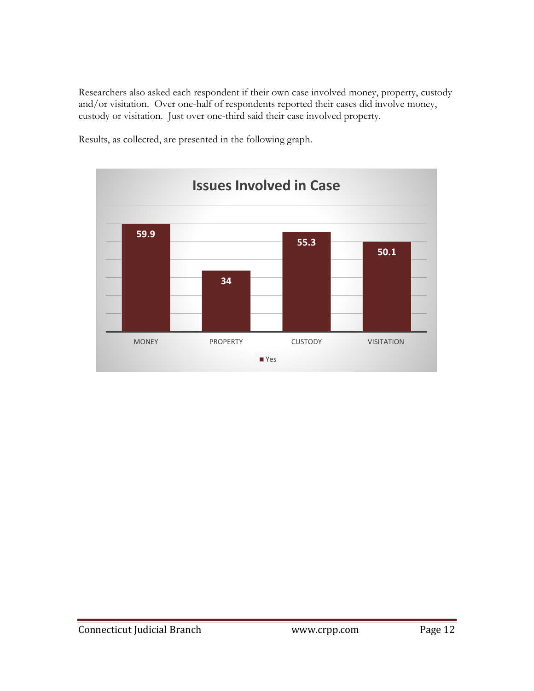Researchers also asked each respondent if their own case involved money, property, custody and/or visitation. Over one-half of respondents reported their cases did involve money, custody or visitation. Just over one-third said their case involved property.



Results, as collected, are presented in the following graph.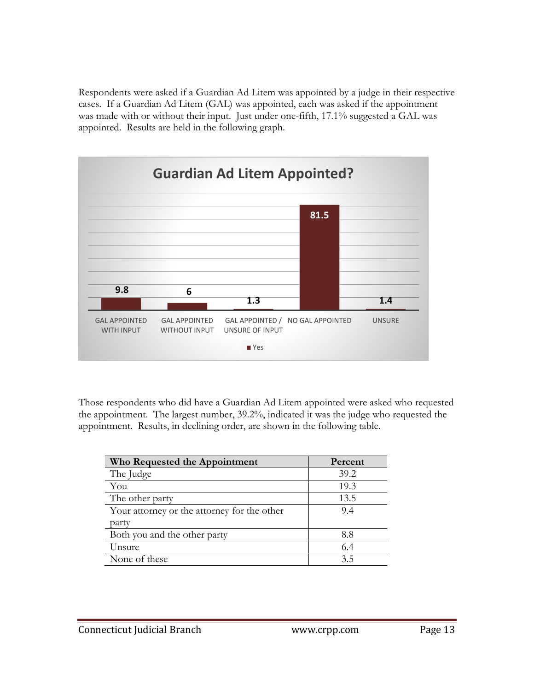Respondents were asked if a Guardian Ad Litem was appointed by a judge in their respective cases. If a Guardian Ad Litem (GAL) was appointed, each was asked if the appointment was made with or without their input. Just under one-fifth, 17.1% suggested a GAL was appointed. Results are held in the following graph.



Those respondents who did have a Guardian Ad Litem appointed were asked who requested the appointment. The largest number, 39.2%, indicated it was the judge who requested the appointment. Results, in declining order, are shown in the following table.

| Who Requested the Appointment               | Percent |
|---------------------------------------------|---------|
| The Judge                                   | 39.2    |
| You                                         | 19.3    |
| The other party                             | 13.5    |
| Your attorney or the attorney for the other | 9.4     |
| party                                       |         |
| Both you and the other party                | 8.8     |
| Unsure                                      | 6.4     |
| None of these                               | 3.5     |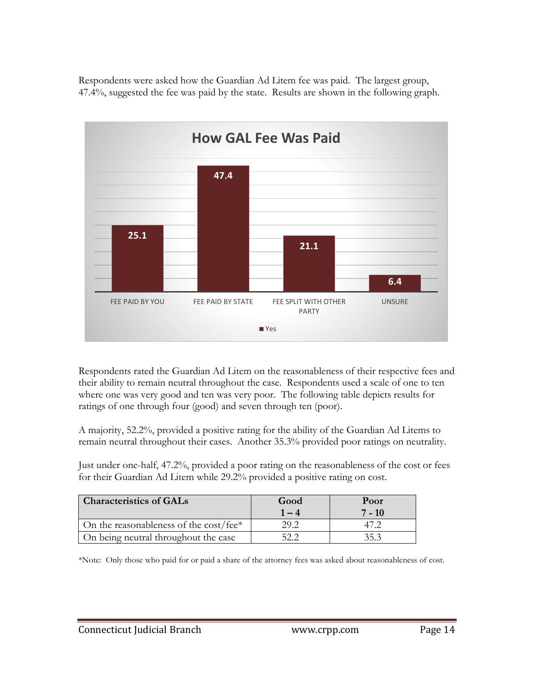Respondents were asked how the Guardian Ad Litem fee was paid. The largest group, 47.4%, suggested the fee was paid by the state. Results are shown in the following graph.



Respondents rated the Guardian Ad Litem on the reasonableness of their respective fees and their ability to remain neutral throughout the case. Respondents used a scale of one to ten where one was very good and ten was very poor. The following table depicts results for ratings of one through four (good) and seven through ten (poor).

A majority, 52.2%, provided a positive rating for the ability of the Guardian Ad Litems to remain neutral throughout their cases. Another 35.3% provided poor ratings on neutrality.

Just under one-half, 47.2%, provided a poor rating on the reasonableness of the cost or fees for their Guardian Ad Litem while 29.2% provided a positive rating on cost.

| <b>Characteristics of GALs</b>            | Good | Poor<br>$7 - 10$ |
|-------------------------------------------|------|------------------|
| On the reasonableness of the cost/fee $*$ |      |                  |
| On being neutral throughout the case      |      | 35 3             |

\*Note: Only those who paid for or paid a share of the attorney fees was asked about reasonableness of cost.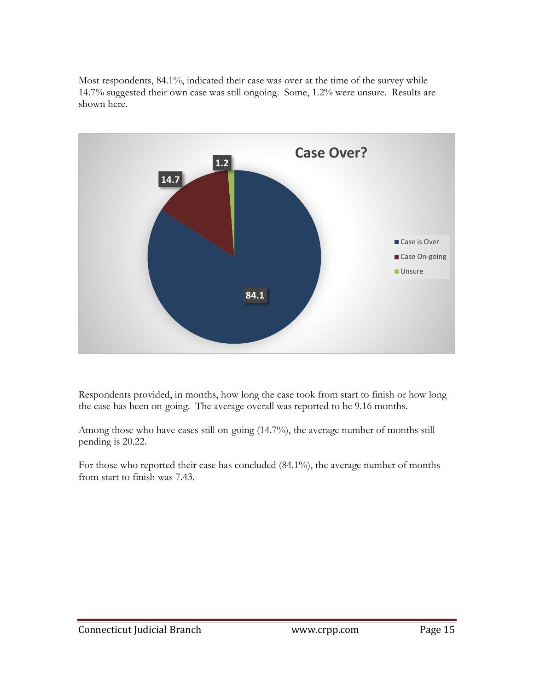Most respondents, 84.1%, indicated their case was over at the time of the survey while 14.7% suggested their own case was still ongoing. Some, 1.2% were unsure. Results are shown here.



Respondents provided, in months, how long the case took from start to finish or how long the case has been on-going. The average overall was reported to be 9.16 months.

Among those who have cases still on-going (14.7%), the average number of months still pending is 20.22.

For those who reported their case has concluded (84.1%), the average number of months from start to finish was 7.43.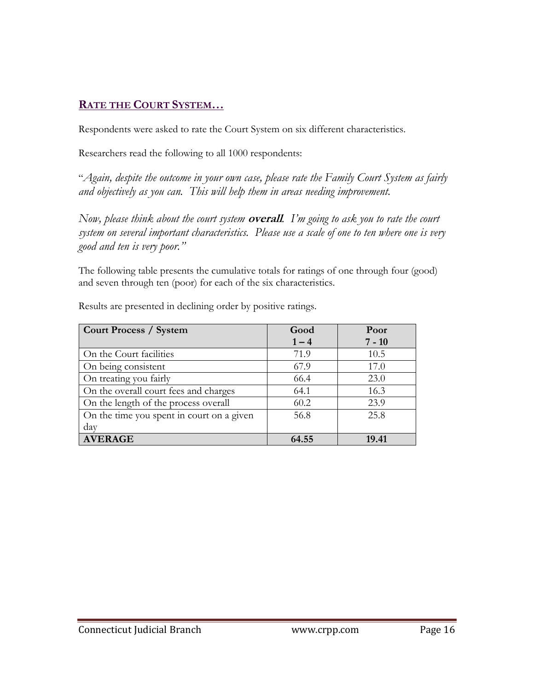#### **RATE THE COURT SYSTEM…**

Respondents were asked to rate the Court System on six different characteristics.

Researchers read the following to all 1000 respondents:

"*Again, despite the outcome in your own case, please rate the Family Court System as fairly and objectively as you can. This will help them in areas needing improvement.*

*Now, please think about the court system* **overall***. I'm going to ask you to rate the court system on several important characteristics. Please use a scale of one to ten where one is very good and ten is very poor."*

The following table presents the cumulative totals for ratings of one through four (good) and seven through ten (poor) for each of the six characteristics.

| <b>Court Process / System</b>             | Good    | Poor     |
|-------------------------------------------|---------|----------|
|                                           | $1 - 4$ | $7 - 10$ |
| On the Court facilities                   | 71.9    | 10.5     |
| On being consistent                       | 67.9    | 17.0     |
| On treating you fairly                    | 66.4    | 23.0     |
| On the overall court fees and charges     | 64.1    | 16.3     |
| On the length of the process overall      | 60.2    | 23.9     |
| On the time you spent in court on a given | 56.8    | 25.8     |
| day                                       |         |          |
| <b>AVERAGE</b>                            | 64.55   | 19.41    |

Results are presented in declining order by positive ratings.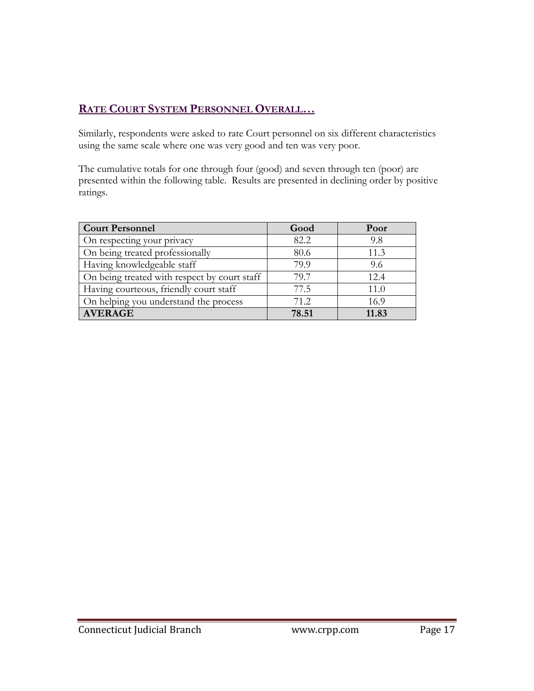#### **RATE COURT SYSTEM PERSONNEL OVERALL…**

Similarly, respondents were asked to rate Court personnel on six different characteristics using the same scale where one was very good and ten was very poor.

The cumulative totals for one through four (good) and seven through ten (poor) are presented within the following table. Results are presented in declining order by positive ratings.

| <b>Court Personnel</b>                       | Good  | Poor  |
|----------------------------------------------|-------|-------|
| On respecting your privacy                   | 82.2  | 9.8   |
| On being treated professionally              | 80.6  | 11.3  |
| Having knowledgeable staff                   | 79.9  | 9.6   |
| On being treated with respect by court staff | 79.7  | 12.4  |
| Having courteous, friendly court staff       | 77.5  | 11.0  |
| On helping you understand the process        | 71.2  | 16.9  |
| <b>AVERAGE</b>                               | 78.51 | 11.83 |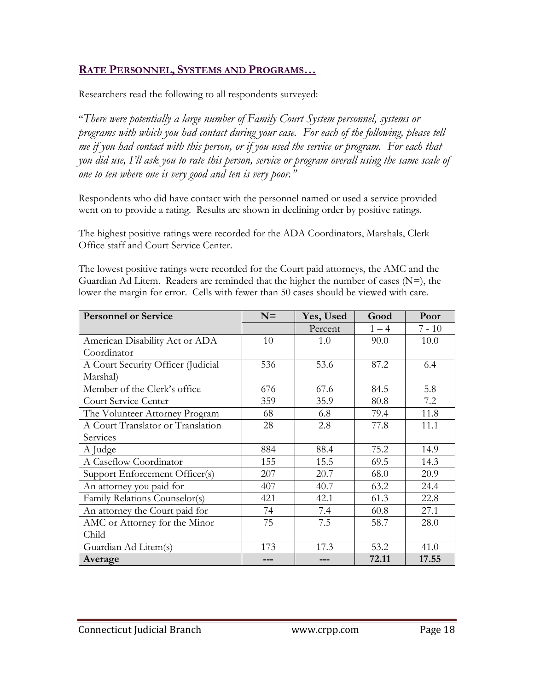#### **RATE PERSONNEL, SYSTEMS AND PROGRAMS…**

Researchers read the following to all respondents surveyed:

"*There were potentially a large number of Family Court System personnel, systems or programs with which you had contact during your case. For each of the following, please tell me if you had contact with this person, or if you used the service or program. For each that you did use, I'll ask you to rate this person, service or program overall using the same scale of one to ten where one is very good and ten is very poor."*

Respondents who did have contact with the personnel named or used a service provided went on to provide a rating. Results are shown in declining order by positive ratings.

The highest positive ratings were recorded for the ADA Coordinators, Marshals, Clerk Office staff and Court Service Center.

The lowest positive ratings were recorded for the Court paid attorneys, the AMC and the Guardian Ad Litem. Readers are reminded that the higher the number of cases  $(N=)$ , the lower the margin for error. Cells with fewer than 50 cases should be viewed with care.

| <b>Personnel or Service</b>        | $N=$ | Yes, Used | Good    | Poor     |
|------------------------------------|------|-----------|---------|----------|
|                                    |      | Percent   | $1 - 4$ | $7 - 10$ |
| American Disability Act or ADA     | 10   | 1.0       | 90.0    | 10.0     |
| Coordinator                        |      |           |         |          |
| A Court Security Officer (Judicial | 536  | 53.6      | 87.2    | 6.4      |
| Marshal)                           |      |           |         |          |
| Member of the Clerk's office       | 676  | 67.6      | 84.5    | 5.8      |
| Court Service Center               | 359  | 35.9      | 80.8    | 7.2      |
| The Volunteer Attorney Program     | 68   | 6.8       | 79.4    | 11.8     |
| A Court Translator or Translation  | 28   | 2.8       | 77.8    | 11.1     |
| Services                           |      |           |         |          |
| A Judge                            | 884  | 88.4      | 75.2    | 14.9     |
| A Caseflow Coordinator             | 155  | 15.5      | 69.5    | 14.3     |
| Support Enforcement Officer(s)     | 207  | 20.7      | 68.0    | 20.9     |
| An attorney you paid for           | 407  | 40.7      | 63.2    | 24.4     |
| Family Relations Counselor(s)      | 421  | 42.1      | 61.3    | 22.8     |
| An attorney the Court paid for     | 74   | 7.4       | 60.8    | 27.1     |
| AMC or Attorney for the Minor      | 75   | 7.5       | 58.7    | 28.0     |
| Child                              |      |           |         |          |
| Guardian Ad Litem(s)               | 173  | 17.3      | 53.2    | 41.0     |
| Average                            |      |           | 72.11   | 17.55    |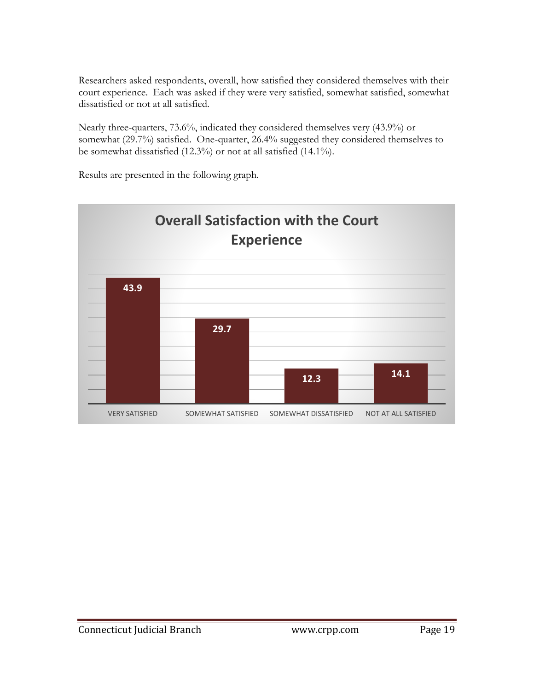Researchers asked respondents, overall, how satisfied they considered themselves with their court experience. Each was asked if they were very satisfied, somewhat satisfied, somewhat dissatisfied or not at all satisfied.

Nearly three-quarters, 73.6%, indicated they considered themselves very (43.9%) or somewhat (29.7%) satisfied. One-quarter, 26.4% suggested they considered themselves to be somewhat dissatisfied (12.3%) or not at all satisfied (14.1%).

Results are presented in the following graph.

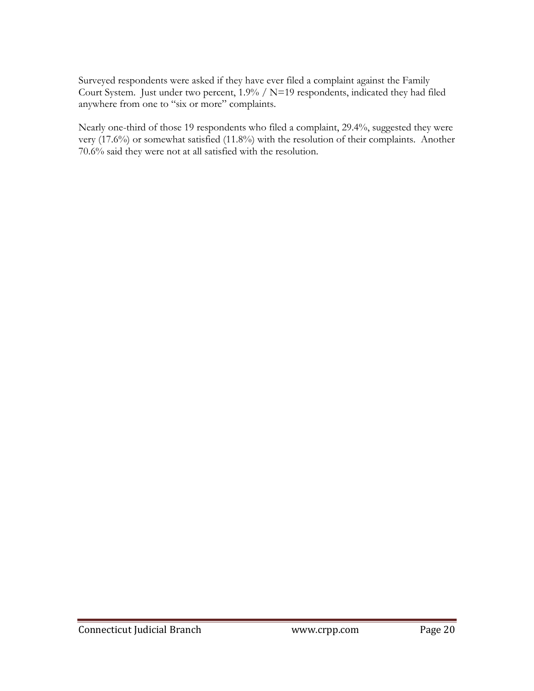Surveyed respondents were asked if they have ever filed a complaint against the Family Court System. Just under two percent, 1.9% / N=19 respondents, indicated they had filed anywhere from one to "six or more" complaints.

Nearly one-third of those 19 respondents who filed a complaint, 29.4%, suggested they were very (17.6%) or somewhat satisfied (11.8%) with the resolution of their complaints. Another 70.6% said they were not at all satisfied with the resolution.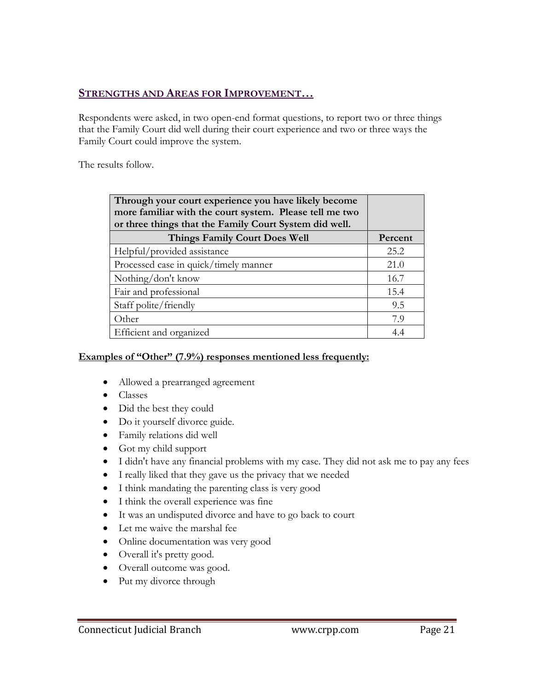#### **STRENGTHS AND AREAS FOR IMPROVEMENT…**

Respondents were asked, in two open-end format questions, to report two or three things that the Family Court did well during their court experience and two or three ways the Family Court could improve the system.

The results follow.

| Through your court experience you have likely become<br>more familiar with the court system. Please tell me two<br>or three things that the Family Court System did well. |         |
|---------------------------------------------------------------------------------------------------------------------------------------------------------------------------|---------|
| Things Family Court Does Well                                                                                                                                             | Percent |
| Helpful/provided assistance                                                                                                                                               | 25.2    |
| Processed case in quick/timely manner                                                                                                                                     | 21.0    |
| Nothing/don't know                                                                                                                                                        | 16.7    |
| Fair and professional                                                                                                                                                     | 15.4    |
| Staff polite/friendly                                                                                                                                                     | 9.5     |
| Other                                                                                                                                                                     | 7.9     |
| Efficient and organized                                                                                                                                                   | 4.4     |

#### **Examples of "Other" (7.9%) responses mentioned less frequently:**

- Allowed a prearranged agreement
- Classes
- Did the best they could
- Do it yourself divorce guide.
- Family relations did well
- Got my child support
- I didn't have any financial problems with my case. They did not ask me to pay any fees
- I really liked that they gave us the privacy that we needed
- I think mandating the parenting class is very good
- I think the overall experience was fine
- It was an undisputed divorce and have to go back to court
- Let me waive the marshal fee
- Online documentation was very good
- Overall it's pretty good.
- Overall outcome was good.
- Put my divorce through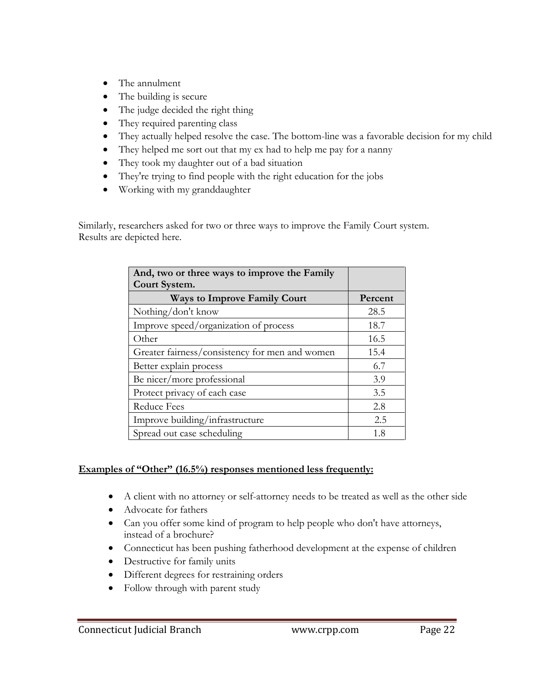- The annulment
- The building is secure
- The judge decided the right thing
- They required parenting class
- They actually helped resolve the case. The bottom-line was a favorable decision for my child
- They helped me sort out that my ex had to help me pay for a nanny
- They took my daughter out of a bad situation
- They're trying to find people with the right education for the jobs
- Working with my granddaughter

Similarly, researchers asked for two or three ways to improve the Family Court system. Results are depicted here.

| And, two or three ways to improve the Family   |         |
|------------------------------------------------|---------|
| Court System.                                  |         |
| <b>Ways to Improve Family Court</b>            | Percent |
| Nothing/don't know                             | 28.5    |
| Improve speed/organization of process          | 18.7    |
| Other                                          | 16.5    |
| Greater fairness/consistency for men and women | 15.4    |
| Better explain process                         | 6.7     |
| Be nicer/more professional                     | 3.9     |
| Protect privacy of each case                   | 3.5     |
| <b>Reduce Fees</b>                             | 2.8     |
| Improve building/infrastructure                | 2.5     |
| Spread out case scheduling                     | 1.8     |

#### **Examples of "Other" (16.5%) responses mentioned less frequently:**

- A client with no attorney or self-attorney needs to be treated as well as the other side
- Advocate for fathers
- Can you offer some kind of program to help people who don't have attorneys, instead of a brochure?
- Connecticut has been pushing fatherhood development at the expense of children
- Destructive for family units
- Different degrees for restraining orders
- Follow through with parent study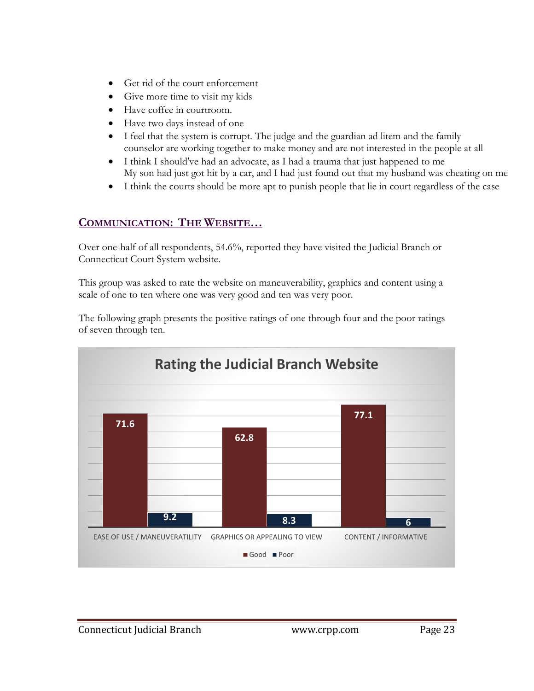- Get rid of the court enforcement
- Give more time to visit my kids
- Have coffee in courtroom.
- Have two days instead of one
- I feel that the system is corrupt. The judge and the guardian ad litem and the family counselor are working together to make money and are not interested in the people at all
- I think I should've had an advocate, as I had a trauma that just happened to me My son had just got hit by a car, and I had just found out that my husband was cheating on me
- I think the courts should be more apt to punish people that lie in court regardless of the case

#### **COMMUNICATION: THE WEBSITE…**

Over one-half of all respondents, 54.6%, reported they have visited the Judicial Branch or Connecticut Court System website.

This group was asked to rate the website on maneuverability, graphics and content using a scale of one to ten where one was very good and ten was very poor.

The following graph presents the positive ratings of one through four and the poor ratings of seven through ten.

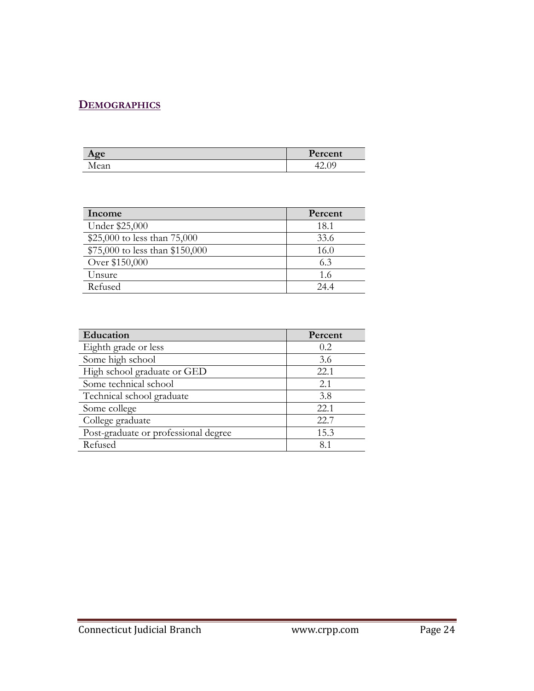#### **DEMOGRAPHICS**

| $\alpha$ e               | T.      |
|--------------------------|---------|
| $\sim$ $\sim$ $\epsilon$ | Percent |
| vlean                    | ے ۔     |

| Income                          | Percent |
|---------------------------------|---------|
| Under \$25,000                  | 18.1    |
| \$25,000 to less than 75,000    | 33.6    |
| \$75,000 to less than \$150,000 | 16.0    |
| Over \$150,000                  | 6.3     |
| Unsure                          | 1.6     |
| Refused                         | 244     |

| Education                            | Percent |
|--------------------------------------|---------|
| Eighth grade or less                 | 0.2     |
| Some high school                     | 3.6     |
| High school graduate or GED          | 22.1    |
| Some technical school                | 2.1     |
| Technical school graduate            | 3.8     |
| Some college                         | 22.1    |
| College graduate                     | 22.7    |
| Post-graduate or professional degree | 15.3    |
| Refused                              | 8.1     |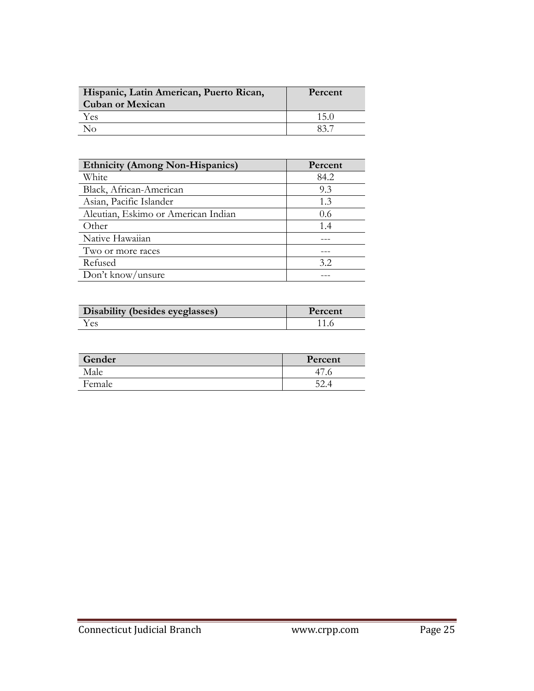| Hispanic, Latin American, Puerto Rican,<br><b>Cuban or Mexican</b> | Percent |
|--------------------------------------------------------------------|---------|
| Yes                                                                | $750 -$ |
| חג                                                                 |         |

| <b>Ethnicity (Among Non-Hispanics)</b> | Percent |
|----------------------------------------|---------|
| White                                  | 84.2    |
| Black, African-American                | 9.3     |
| Asian, Pacific Islander                | 1.3     |
| Aleutian, Eskimo or American Indian    | 0.6     |
| Other                                  | 1.4     |
| Native Hawaiian                        |         |
| Two or more races                      |         |
| Refused                                | 3.2     |
| Don't know/unsure                      |         |

| Disability (besides eyeglasses) | Percent |
|---------------------------------|---------|
| es.                             |         |

| Gender | Percent |
|--------|---------|
| Male   |         |
| Female |         |